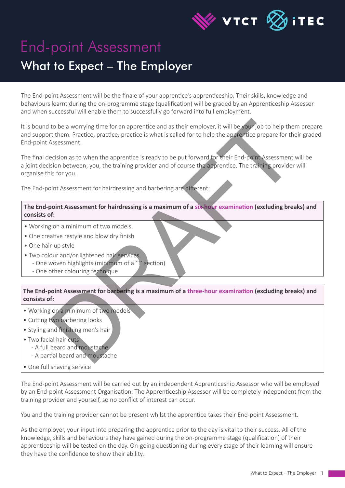

## End-point Assessment What to Expect – The Employer

The End-point Assessment will be the finale of your apprentice's apprenticeship. Their skills, knowledge and behaviours learnt during the on-programme stage (qualification) will be graded by an Apprenticeship Assessor and when successful will enable them to successfully go forward into full employment.

It is bound to be a worrying time for an apprentice and as their employer, it will be your job to help them prepare and support them. Practice, practice, practice is what is called for to help the apprentice prepare for their graded End-point Assessment.

The final decision as to when the apprentice is ready to be put forward for their End-point Assessment will be a joint decision between; you, the training provider and of course the apprentice. The training provider will organise this for you. to be a worrying time for an apprentice and as their employer, it will be your job to help the<br>them. Practice, practice is what is called for to help the apprentice prepare for the<br>syssessment.<br>Secsion as to when the appre

The End-point Assessment for hairdressing and barbering are different:

**The End-point Assessment for hairdressing is a maximum of a six-hour examination (excluding breaks) and consists of:**

- Working on a minimum of two models
- One creative restyle and blow dry finish
- One hair-up style
- Two colour and/or lightened hair services
	- One woven highlights (minimum of a 'T' section)
	- One other colouring technique

**The End-point Assessment for barbering is a maximum of a three-hour examination (excluding breaks) and consists of:**

- Working on a minimum of two models
- Cutting two barbering looks
- Styling and finishing men's hair
- Two facial hair cuts
	- A full beard and moustache
	- A partial beard and moustache
- One full shaving service

The End-point Assessment will be carried out by an independent Apprenticeship Assessor who will be employed by an End-point Assessment Organisation. The Apprenticeship Assessor will be completely independent from the training provider and yourself, so no conflict of interest can occur.

You and the training provider cannot be present whilst the apprentice takes their End-point Assessment.

As the employer, your input into preparing the apprentice prior to the day is vital to their success. All of the knowledge, skills and behaviours they have gained during the on-programme stage (qualification) of their apprenticeship will be tested on the day. On-going questioning during every stage of their learning will ensure they have the confidence to show their ability.